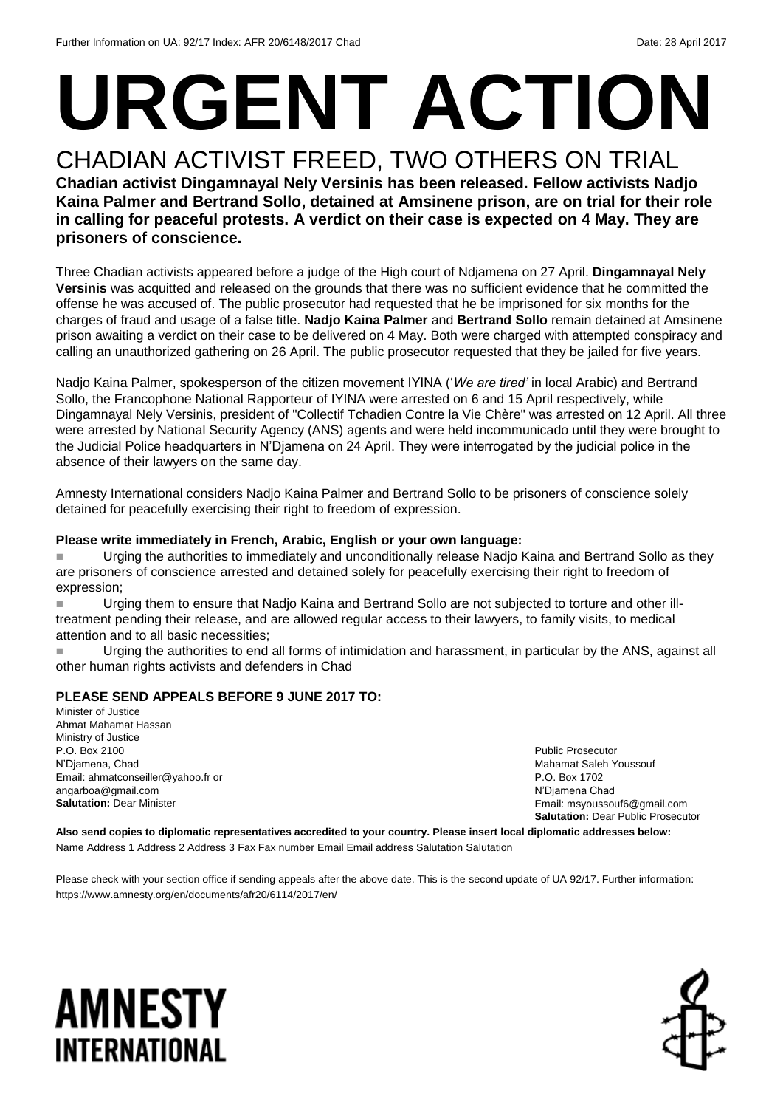# **URGENT ACTION**

#### CHADIAN ACTIVIST FREED, TWO OTHERS ON TRIAL **Chadian activist Dingamnayal Nely Versinis has been released. Fellow activists Nadjo Kaina Palmer and Bertrand Sollo, detained at Amsinene prison, are on trial for their role in calling for peaceful protests. A verdict on their case is expected on 4 May. They are prisoners of conscience.**

Three Chadian activists appeared before a judge of the High court of Ndjamena on 27 April. **Dingamnayal Nely Versinis** was acquitted and released on the grounds that there was no sufficient evidence that he committed the offense he was accused of. The public prosecutor had requested that he be imprisoned for six months for the charges of fraud and usage of a false title. **Nadjo Kaina Palmer** and **Bertrand Sollo** remain detained at Amsinene prison awaiting a verdict on their case to be delivered on 4 May. Both were charged with attempted conspiracy and calling an unauthorized gathering on 26 April. The public prosecutor requested that they be jailed for five years.

Nadjo Kaina Palmer, spokesperson of the citizen movement IYINA ('*We are tired'* in local Arabic) and Bertrand Sollo, the Francophone National Rapporteur of IYINA were arrested on 6 and 15 April respectively, while Dingamnayal Nely Versinis, president of "Collectif Tchadien Contre la Vie Chère" was arrested on 12 April. All three were arrested by National Security Agency (ANS) agents and were held incommunicado until they were brought to the Judicial Police headquarters in N'Djamena on 24 April. They were interrogated by the judicial police in the absence of their lawyers on the same day.

Amnesty International considers Nadjo Kaina Palmer and Bertrand Sollo to be prisoners of conscience solely detained for peacefully exercising their right to freedom of expression.

#### **Please write immediately in French, Arabic, English or your own language:**

**Urging the authorities to immediately and unconditionally release Nadio Kaina and Bertrand Sollo as they** are prisoners of conscience arrested and detained solely for peacefully exercising their right to freedom of expression;

 Urging them to ensure that Nadjo Kaina and Bertrand Sollo are not subjected to torture and other illtreatment pending their release, and are allowed regular access to their lawyers, to family visits, to medical attention and to all basic necessities;

 Urging the authorities to end all forms of intimidation and harassment, in particular by the ANS, against all other human rights activists and defenders in Chad

#### **PLEASE SEND APPEALS BEFORE 9 JUNE 2017 TO:**

Minister of Justice Ahmat Mahamat Hassan Ministry of Justice P.O. Box 2100 N'Djamena, Chad Email: ahmatconseiller@yahoo.fr or angarboa@gmail.com **Salutation:** Dear Minister

Public Prosecutor Mahamat Saleh Youssouf P.O. Box 1702 N'Djamena Chad Email: msyoussouf6@gmail.com **Salutation:** Dear Public Prosecutor

**Also send copies to diplomatic representatives accredited to your country. Please insert local diplomatic addresses below:** Name Address 1 Address 2 Address 3 Fax Fax number Email Email address Salutation Salutation

Please check with your section office if sending appeals after the above date. This is the second update of UA 92/17. Further information: https://www.amnesty.org/en/documents/afr20/6114/2017/en/